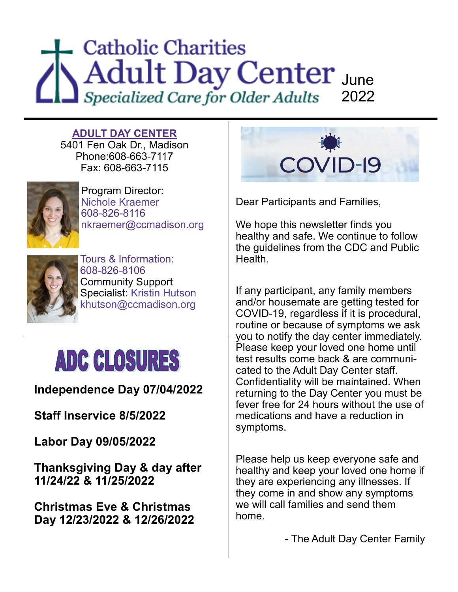### **Catholic Charities** June 2022

**ADULT DAY CENTER**  5401 Fen Oak Dr., Madison Phone:608-663-7117 Fax: 608-663-7115



Program Director: Nichole Kraemer 608-826-8116 nkraemer@ccmadison.org



Tours & Information: 608-826-8106 Community Support Specialist: Kristin Hutson khutson@ccmadison.org

## **ADC CLOSURES**

**Independence Day 07/04/2022**

**Staff Inservice 8/5/2022**

**Labor Day 09/05/2022**

**Thanksgiving Day & day after 11/24/22 & 11/25/2022**

**Christmas Eve & Christmas Day 12/23/2022 & 12/26/2022**



Dear Participants and Families,

We hope this newsletter finds you healthy and safe. We continue to follow the guidelines from the CDC and Public **Health** 

If any participant, any family members and/or housemate are getting tested for COVID-19, regardless if it is procedural, routine or because of symptoms we ask you to notify the day center immediately. Please keep your loved one home until test results come back & are communicated to the Adult Day Center staff. Confidentiality will be maintained. When returning to the Day Center you must be fever free for 24 hours without the use of medications and have a reduction in symptoms.

Please help us keep everyone safe and healthy and keep your loved one home if they are experiencing any illnesses. If they come in and show any symptoms we will call families and send them home.

- The Adult Day Center Family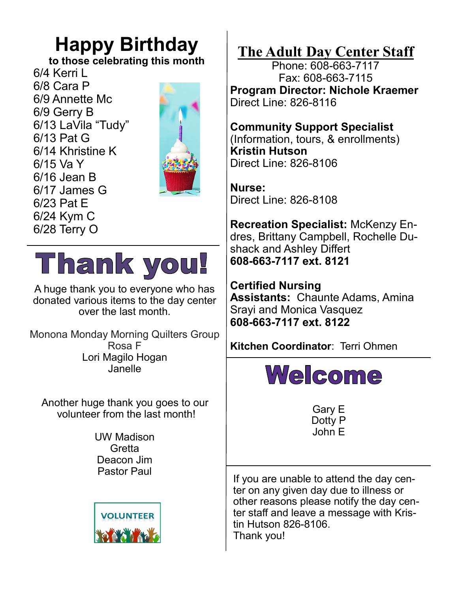#### **Happy Birthday**

**to those celebrating this month** 

6/4 Kerri L 6/8 Cara P 6/9 Annette Mc 6/9 Gerry B 6/13 LaVila "Tudy" 6/13 Pat G 6/14 Khristine K 6/15 Va Y 6/16 Jean B 6/17 James G 6/23 Pat E 6/24 Kym C 6/28 Terry O



**Thank you!** 

A huge thank you to everyone who has donated various items to the day center over the last month.

Monona Monday Morning Quilters Group Rosa F Lori Magilo Hogan Janelle

Another huge thank you goes to our volunteer from the last month!

> UW Madison **Gretta** Deacon Jim Pastor Paul



**The Adult Day Center Staff**

Phone: 608-663-7117 Fax: 608-663-7115 **Program Director: Nichole Kraemer** Direct Line: 826-8116

**Community Support Specialist** (Information, tours, & enrollments) **Kristin Hutson** Direct Line: 826-8106

**Nurse:**  Direct Line: 826-8108

**Recreation Specialist:** McKenzy Endres, Brittany Campbell, Rochelle Dushack and Ashley Differt **608-663-7117 ext. 8121**

**Certified Nursing Assistants:** Chaunte Adams, Amina Srayi and Monica Vasquez **608-663-7117 ext. 8122**

**Kitchen Coordinator**: Terri Ohmen



Gary E Dotty P John E

If you are unable to attend the day center on any given day due to illness or other reasons please notify the day center staff and leave a message with Kristin Hutson 826-8106. Thank you!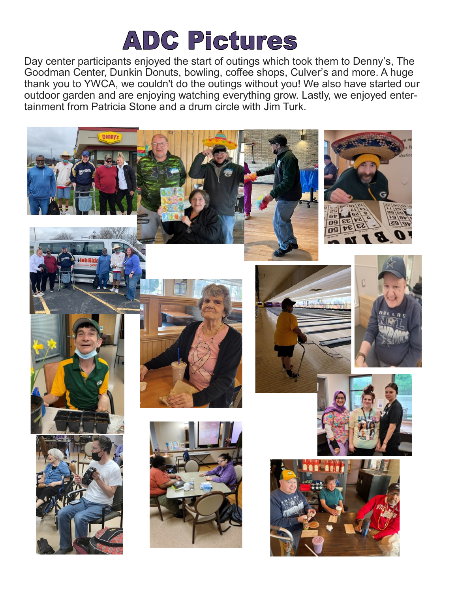## **ADC Pictures**

Day center participants enjoyed the start of outings which took them to Denny's, The Goodman Center, Dunkin Donuts, bowling, coffee shops, Culver's and more. A huge thank you to YWCA, we couldn't do the outings without you! We also have started our outdoor garden and are enjoying watching everything grow. Lastly, we enjoyed entertainment from Patricia Stone and a drum circle with Jim Turk.

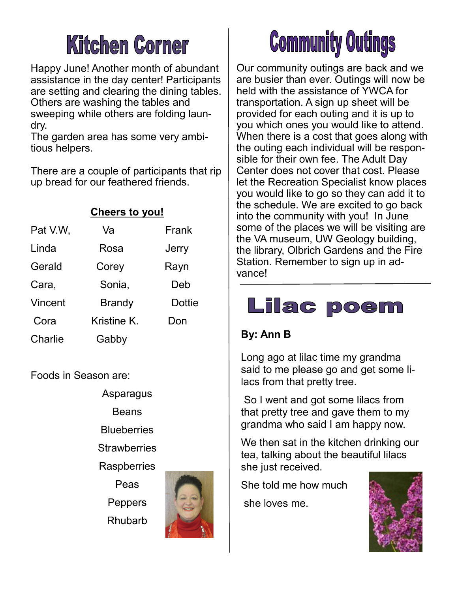## **Kitchen Corner**

Happy June! Another month of abundant assistance in the day center! Participants are setting and clearing the dining tables. Others are washing the tables and sweeping while others are folding laundry.

The garden area has some very ambitious helpers.

There are a couple of participants that rip up bread for our feathered friends.

| <b>Cheers to you!</b> |               |               |
|-----------------------|---------------|---------------|
| Pat V.W.              | Va            | Frank         |
| Linda                 | Rosa          | Jerry         |
| Gerald                | Corey         | Rayn          |
| Cara,                 | Sonia,        | Deb           |
| Vincent               | <b>Brandy</b> | <b>Dottie</b> |
| Cora                  | Kristine K.   | Don           |
| Charlie               | Gabby         |               |

Foods in Season are:

Asparagus

Beans

**Blueberries** 

**Strawberries** 

**Raspberries** 

Peas

**Peppers** Rhubarb



# **Community Outings**

Our community outings are back and we are busier than ever. Outings will now be held with the assistance of YWCA for transportation. A sign up sheet will be provided for each outing and it is up to you which ones you would like to attend. When there is a cost that goes along with the outing each individual will be responsible for their own fee. The Adult Day Center does not cover that cost. Please let the Recreation Specialist know places you would like to go so they can add it to the schedule. We are excited to go back into the community with you! In June some of the places we will be visiting are the VA museum, UW Geology building, the library, Olbrich Gardens and the Fire Station. Remember to sign up in advance!

#### **Lilac poem**

#### **By: Ann B**

Long ago at lilac time my grandma said to me please go and get some lilacs from that pretty tree.

So I went and got some lilacs from that pretty tree and gave them to my grandma who said I am happy now.

We then sat in the kitchen drinking our tea, talking about the beautiful lilacs she just received.

She told me how much

she loves me.

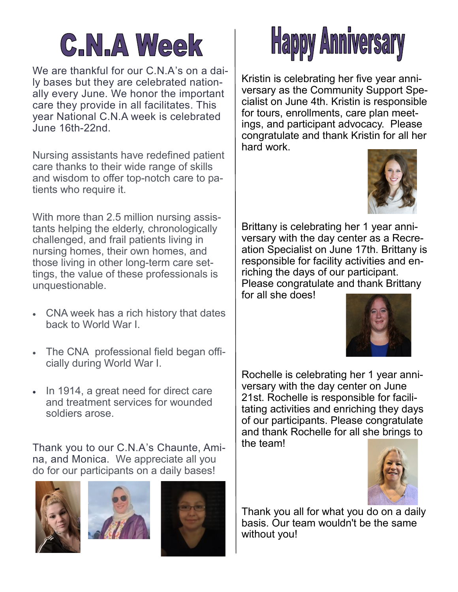# **C.N.A Week**

We are thankful for our C.N.A's on a daily bases but they are celebrated nationally every June. We honor the important care they provide in all facilitates. This year National C.N.A week is celebrated June 16th-22nd.

Nursing assistants have redefined patient care thanks to their wide range of skills and wisdom to offer top-notch care to patients who require it.

With more than 2.5 million nursing assistants helping the elderly, chronologically challenged, and frail patients living in nursing homes, their own homes, and those living in other long-term care settings, the value of these professionals is unquestionable.

- CNA week has a rich history that dates back to World War I.
- The CNA professional field began officially during World War I.
- In 1914, a great need for direct care and treatment services for wounded soldiers arose.

Thank you to our C.N.A's Chaunte, Amina, and Monica. We appreciate all you do for our participants on a daily bases!









Kristin is celebrating her five year anniversary as the Community Support Specialist on June 4th. Kristin is responsible for tours, enrollments, care plan meetings, and participant advocacy. Please congratulate and thank Kristin for all her hard work.



Brittany is celebrating her 1 year anniversary with the day center as a Recreation Specialist on June 17th. Brittany is responsible for facility activities and enriching the days of our participant. Please congratulate and thank Brittany for all she does!



Rochelle is celebrating her 1 year anniversary with the day center on June 21st. Rochelle is responsible for facilitating activities and enriching they days of our participants. Please congratulate and thank Rochelle for all she brings to the team!



Thank you all for what you do on a daily basis. Our team wouldn't be the same without you!